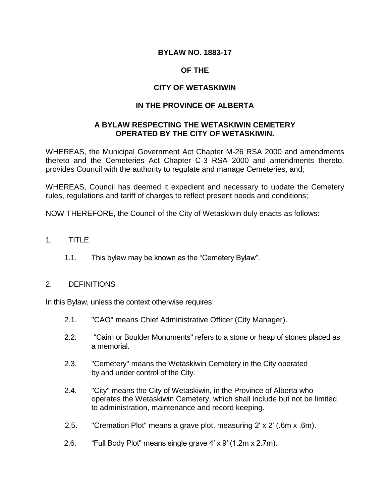## **BYLAW NO. 1883-17**

## **OF THE**

## **CITY OF WETASKIWIN**

## **IN THE PROVINCE OF ALBERTA**

## **A BYLAW RESPECTING THE WETASKIWIN CEMETERY OPERATED BY THE CITY OF WETASKIWIN.**

WHEREAS, the Municipal Government Act Chapter M-26 RSA 2000 and amendments thereto and the Cemeteries Act Chapter C-3 RSA 2000 and amendments thereto, provides Council with the authority to regulate and manage Cemeteries, and;

WHEREAS, Council has deemed it expedient and necessary to update the Cemetery rules, regulations and tariff of charges to reflect present needs and conditions;

NOW THEREFORE, the Council of the City of Wetaskiwin duly enacts as follows:

- 1. TITLE
	- 1.1. This bylaw may be known as the "Cemetery Bylaw".

#### 2. DEFINITIONS

In this Bylaw, unless the context otherwise requires:

- 2.1. "CAO" means Chief Administrative Officer (City Manager).
- 2.2. "Cairn or Boulder Monuments" refers to a stone or heap of stones placed as a memorial.
- 2.3. "Cemetery" means the Wetaskiwin Cemetery in the City operated by and under control of the City.
- 2.4. "City" means the City of Wetaskiwin, in the Province of Alberta who operates the Wetaskiwin Cemetery, which shall include but not be limited to administration, maintenance and record keeping.
- 2.5. "Cremation Plot" means a grave plot, measuring 2' x 2' (.6m x .6m).
- 2.6. "Full Body Plot" means single grave 4' x 9' (1.2m x 2.7m).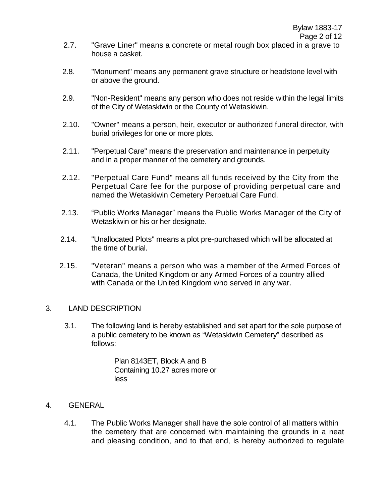- 2.7. "Grave Liner" means a concrete or metal rough box placed in a grave to house a casket.
- 2.8. "Monument" means any permanent grave structure or headstone level with or above the ground.
- 2.9. "Non-Resident" means any person who does not reside within the legal limits of the City of Wetaskiwin or the County of Wetaskiwin.
- 2.10. "Owner" means a person, heir, executor or authorized funeral director, with burial privileges for one or more plots.
- 2.11. "Perpetual Care" means the preservation and maintenance in perpetuity and in a proper manner of the cemetery and grounds.
- 2.12. "Perpetual Care Fund" means all funds received by the City from the Perpetual Care fee for the purpose of providing perpetual care and named the Wetaskiwin Cemetery Perpetual Care Fund.
- 2.13. "Public Works Manager" means the Public Works Manager of the City of Wetaskiwin or his or her designate.
- 2.14. "Unallocated Plots" means a plot pre-purchased which will be allocated at the time of burial.
- 2.15. "Veteran" means a person who was a member of the Armed Forces of Canada, the United Kingdom or any Armed Forces of a country allied with Canada or the United Kingdom who served in any war.

## 3. LAND DESCRIPTION

3.1. The following land is hereby established and set apart for the sole purpose of a public cemetery to be known as "Wetaskiwin Cemetery" described as follows:

> Plan 8143ET, Block A and B Containing 10.27 acres more or less

- 4. GENERAL
	- 4.1. The Public Works Manager shall have the sole control of all matters within the cemetery that are concerned with maintaining the grounds in a neat and pleasing condition, and to that end, is hereby authorized to regulate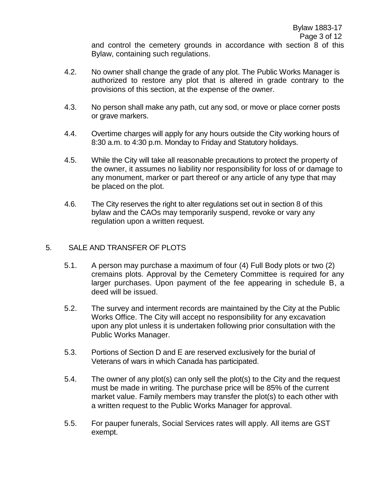and control the cemetery grounds in accordance with section 8 of this Bylaw, containing such regulations.

- 4.2. No owner shall change the grade of any plot. The Public Works Manager is authorized to restore any plot that is altered in grade contrary to the provisions of this section, at the expense of the owner.
- 4.3. No person shall make any path, cut any sod, or move or place corner posts or grave markers.
- 4.4. Overtime charges will apply for any hours outside the City working hours of 8:30 a.m. to 4:30 p.m. Monday to Friday and Statutory holidays.
- 4.5. While the City will take all reasonable precautions to protect the property of the owner, it assumes no liability nor responsibility for loss of or damage to any monument, marker or part thereof or any article of any type that may be placed on the plot.
- 4.6. The City reserves the right to alter regulations set out in section 8 of this bylaw and the CAOs may temporarily suspend, revoke or vary any regulation upon a written request.

## 5. SALE AND TRANSFER OF PLOTS

- 5.1. A person may purchase a maximum of four (4) Full Body plots or two (2) cremains plots. Approval by the Cemetery Committee is required for any larger purchases. Upon payment of the fee appearing in schedule B, a deed will be issued.
- 5.2. The survey and interment records are maintained by the City at the Public Works Office. The City will accept no responsibility for any excavation upon any plot unless it is undertaken following prior consultation with the Public Works Manager.
- 5.3. Portions of Section D and E are reserved exclusively for the burial of Veterans of wars in which Canada has participated.
- 5.4. The owner of any plot(s) can only sell the plot(s) to the City and the request must be made in writing. The purchase price will be 85% of the current market value. Family members may transfer the plot(s) to each other with a written request to the Public Works Manager for approval.
- 5.5. For pauper funerals, Social Services rates will apply. All items are GST exempt.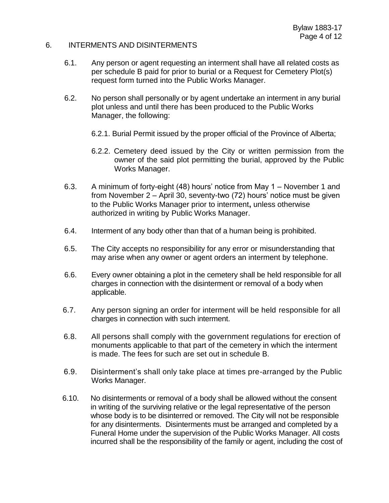#### 6. INTERMENTS AND DISINTERMENTS

- 6.1. Any person or agent requesting an interment shall have all related costs as per schedule B paid for prior to burial or a Request for Cemetery Plot(s) request form turned into the Public Works Manager.
- 6.2. No person shall personally or by agent undertake an interment in any burial plot unless and until there has been produced to the Public Works Manager, the following:
	- 6.2.1. Burial Permit issued by the proper official of the Province of Alberta;
	- 6.2.2. Cemetery deed issued by the City or written permission from the owner of the said plot permitting the burial, approved by the Public Works Manager.
- 6.3. A minimum of forty-eight (48) hours' notice from May 1 November 1 and from November 2 – April 30, seventy-two (72) hours' notice must be given to the Public Works Manager prior to interment**,** unless otherwise authorized in writing by Public Works Manager.
- 6.4. Interment of any body other than that of a human being is prohibited.
- 6.5. The City accepts no responsibility for any error or misunderstanding that may arise when any owner or agent orders an interment by telephone.
- 6.6. Every owner obtaining a plot in the cemetery shall be held responsible for all charges in connection with the disinterment or removal of a body when applicable.
- 6.7. Any person signing an order for interment will be held responsible for all charges in connection with such interment.
- 6.8. All persons shall comply with the government regulations for erection of monuments applicable to that part of the cemetery in which the interment is made. The fees for such are set out in schedule B.
- 6.9. Disinterment's shall only take place at times pre-arranged by the Public Works Manager.
- 6.10. No disinterments or removal of a body shall be allowed without the consent in writing of the surviving relative or the legal representative of the person whose body is to be disinterred or removed. The City will not be responsible for any disinterments. Disinterments must be arranged and completed by a Funeral Home under the supervision of the Public Works Manager. All costs incurred shall be the responsibility of the family or agent, including the cost of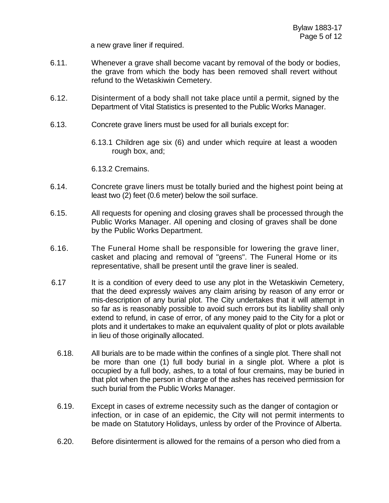a new grave liner if required.

- 6.11. Whenever a grave shall become vacant by removal of the body or bodies, the grave from which the body has been removed shall revert without refund to the Wetaskiwin Cemetery.
- 6.12. Disinterment of a body shall not take place until a permit, signed by the Department of Vital Statistics is presented to the Public Works Manager.
- 6.13. Concrete grave liners must be used for all burials except for:
	- 6.13.1 Children age six (6) and under which require at least a wooden rough box, and;

6.13.2 Cremains.

- 6.14. Concrete grave liners must be totally buried and the highest point being at least two (2) feet (0.6 meter) below the soil surface.
- 6.15. All requests for opening and closing graves shall be processed through the Public Works Manager. All opening and closing of graves shall be done by the Public Works Department.
- 6.16. The Funeral Home shall be responsible for lowering the grave liner, casket and placing and removal of "greens". The Funeral Home or its representative, shall be present until the grave liner is sealed.
- 6.17 It is a condition of every deed to use any plot in the Wetaskiwin Cemetery, that the deed expressly waives any claim arising by reason of any error or mis-description of any burial plot. The City undertakes that it will attempt in so far as is reasonably possible to avoid such errors but its liability shall only extend to refund, in case of error, of any money paid to the City for a plot or plots and it undertakes to make an equivalent quality of plot or plots available in lieu of those originally allocated.
	- 6.18. All burials are to be made within the confines of a single plot. There shall not be more than one (1) full body burial in a single plot. Where a plot is occupied by a full body, ashes, to a total of four cremains, may be buried in that plot when the person in charge of the ashes has received permission for such burial from the Public Works Manager.
	- 6.19. Except in cases of extreme necessity such as the danger of contagion or infection, or in case of an epidemic, the City will not permit interments to be made on Statutory Holidays, unless by order of the Province of Alberta.
	- 6.20. Before disinterment is allowed for the remains of a person who died from a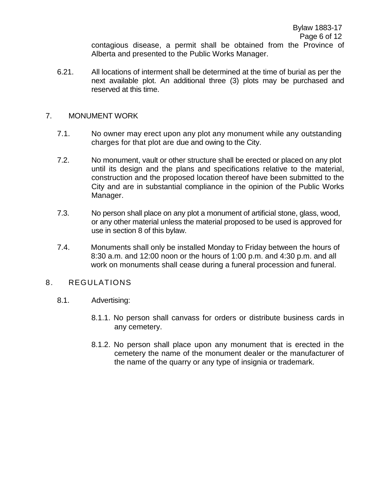contagious disease, a permit shall be obtained from the Province of Alberta and presented to the Public Works Manager.

6.21. All locations of interment shall be determined at the time of burial as per the next available plot. An additional three (3) plots may be purchased and reserved at this time.

## 7. MONUMENT WORK

- 7.1. No owner may erect upon any plot any monument while any outstanding charges for that plot are due and owing to the City.
- 7.2. No monument, vault or other structure shall be erected or placed on any plot until its design and the plans and specifications relative to the material, construction and the proposed location thereof have been submitted to the City and are in substantial compliance in the opinion of the Public Works Manager.
- 7.3. No person shall place on any plot a monument of artificial stone, glass, wood, or any other material unless the material proposed to be used is approved for use in section 8 of this bylaw.
- 7.4. Monuments shall only be installed Monday to Friday between the hours of 8:30 a.m. and 12:00 noon or the hours of 1:00 p.m. and 4:30 p.m. and all work on monuments shall cease during a funeral procession and funeral.

## 8. REGULATIONS

- 8.1. Advertising:
	- 8.1.1. No person shall canvass for orders or distribute business cards in any cemetery.
	- 8.1.2. No person shall place upon any monument that is erected in the cemetery the name of the monument dealer or the manufacturer of the name of the quarry or any type of insignia or trademark.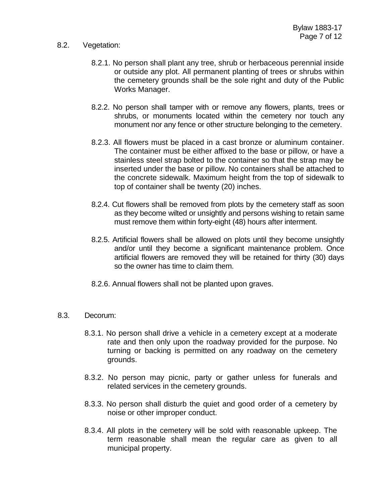## 8.2. Vegetation:

- 8.2.1. No person shall plant any tree, shrub or herbaceous perennial inside or outside any plot. All permanent planting of trees or shrubs within the cemetery grounds shall be the sole right and duty of the Public Works Manager.
- 8.2.2. No person shall tamper with or remove any flowers, plants, trees or shrubs, or monuments located within the cemetery nor touch any monument nor any fence or other structure belonging to the cemetery.
- 8.2.3. All flowers must be placed in a cast bronze or aluminum container. The container must be either affixed to the base or pillow, or have a stainless steel strap bolted to the container so that the strap may be inserted under the base or pillow. No containers shall be attached to the concrete sidewalk. Maximum height from the top of sidewalk to top of container shall be twenty (20) inches.
- 8.2.4. Cut flowers shall be removed from plots by the cemetery staff as soon as they become wilted or unsightly and persons wishing to retain same must remove them within forty-eight (48) hours after interment.
- 8.2.5. Artificial flowers shall be allowed on plots until they become unsightly and/or until they become a significant maintenance problem. Once artificial flowers are removed they will be retained for thirty (30) days so the owner has time to claim them.
- 8.2.6. Annual flowers shall not be planted upon graves.
- 8.3. Decorum:
	- 8.3.1. No person shall drive a vehicle in a cemetery except at a moderate rate and then only upon the roadway provided for the purpose. No turning or backing is permitted on any roadway on the cemetery grounds.
	- 8.3.2. No person may picnic, party or gather unless for funerals and related services in the cemetery grounds.
	- 8.3.3. No person shall disturb the quiet and good order of a cemetery by noise or other improper conduct.
	- 8.3.4. All plots in the cemetery will be sold with reasonable upkeep. The term reasonable shall mean the regular care as given to all municipal property.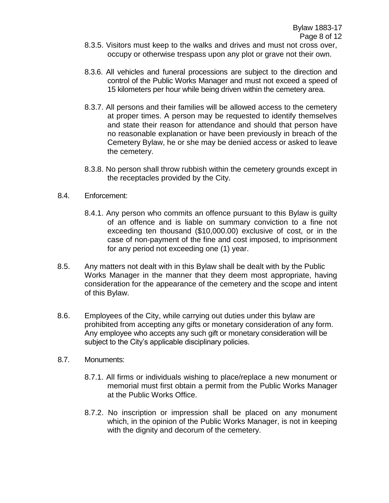- 8.3.5. Visitors must keep to the walks and drives and must not cross over, occupy or otherwise trespass upon any plot or grave not their own.
- 8.3.6. All vehicles and funeral processions are subject to the direction and control of the Public Works Manager and must not exceed a speed of 15 kilometers per hour while being driven within the cemetery area.
- 8.3.7. All persons and their families will be allowed access to the cemetery at proper times. A person may be requested to identify themselves and state their reason for attendance and should that person have no reasonable explanation or have been previously in breach of the Cemetery Bylaw, he or she may be denied access or asked to leave the cemetery.
- 8.3.8. No person shall throw rubbish within the cemetery grounds except in the receptacles provided by the City.
- 8.4. Enforcement:
	- 8.4.1. Any person who commits an offence pursuant to this Bylaw is guilty of an offence and is liable on summary conviction to a fine not exceeding ten thousand (\$10,000.00) exclusive of cost, or in the case of non-payment of the fine and cost imposed, to imprisonment for any period not exceeding one (1) year.
- 8.5. Any matters not dealt with in this Bylaw shall be dealt with by the Public Works Manager in the manner that they deem most appropriate, having consideration for the appearance of the cemetery and the scope and intent of this Bylaw.
- 8.6. Employees of the City, while carrying out duties under this bylaw are prohibited from accepting any gifts or monetary consideration of any form. Any employee who accepts any such gift or monetary consideration will be subject to the City's applicable disciplinary policies.
- 8.7. Monuments:
	- 8.7.1. All firms or individuals wishing to place/replace a new monument or memorial must first obtain a permit from the Public Works Manager at the Public Works Office.
	- 8.7.2. No inscription or impression shall be placed on any monument which, in the opinion of the Public Works Manager, is not in keeping with the dignity and decorum of the cemetery.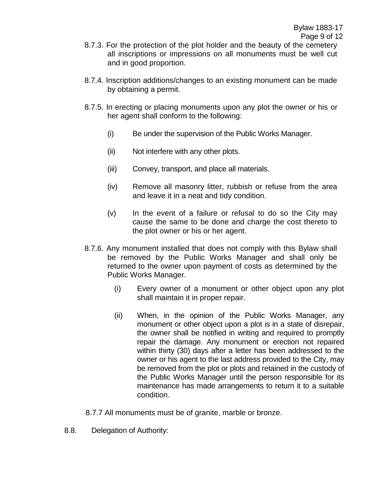- 8.7.3. For the protection of the plot holder and the beauty of the cemetery all inscriptions or impressions on all monuments must be well cut and in good proportion.
- 8.7.4. Inscription additions/changes to an existing monument can be made by obtaining a permit.
- 8.7.5. In erecting or placing monuments upon any plot the owner or his or her agent shall conform to the following:
	- (i) Be under the supervision of the Public Works Manager.
	- (ii) Not interfere with any other plots.
	- (iii) Convey, transport, and place all materials.
	- (iv) Remove all masonry litter, rubbish or refuse from the area and leave it in a neat and tidy condition.
	- $(v)$  In the event of a failure or refusal to do so the City may cause the same to be done and charge the cost thereto to the plot owner or his or her agent.
- 8.7.6. Any monument installed that does not comply with this Bylaw shall be removed by the Public Works Manager and shall only be returned to the owner upon payment of costs as determined by the Public Works Manager.
	- (i) Every owner of a monument or other object upon any plot shall maintain it in proper repair.
	- (ii) When, in the opinion of the Public Works Manager, any monument or other object upon a plot is in a state of disrepair, the owner shall be notified in writing and required to promptly repair the damage. Any monument or erection not repaired within thirty (30) days after a letter has been addressed to the owner or his agent to the last address provided to the City, may be removed from the plot or plots and retained in the custody of the Public Works Manager until the person responsible for its maintenance has made arrangements to return it to a suitable condition.
- 8.7.7 All monuments must be of granite, marble or bronze.
- 8.8. Delegation of Authority: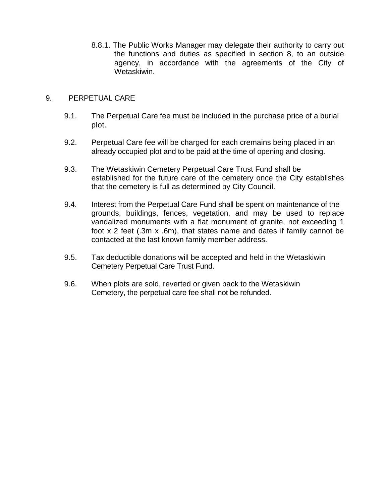8.8.1. The Public Works Manager may delegate their authority to carry out the functions and duties as specified in section 8, to an outside agency, in accordance with the agreements of the City of Wetaskiwin.

## 9. PERPETUAL CARE

- 9.1. The Perpetual Care fee must be included in the purchase price of a burial plot.
- 9.2. Perpetual Care fee will be charged for each cremains being placed in an already occupied plot and to be paid at the time of opening and closing.
- 9.3. The Wetaskiwin Cemetery Perpetual Care Trust Fund shall be established for the future care of the cemetery once the City establishes that the cemetery is full as determined by City Council.
- 9.4. Interest from the Perpetual Care Fund shall be spent on maintenance of the grounds, buildings, fences, vegetation, and may be used to replace vandalized monuments with a flat monument of granite, not exceeding 1 foot x 2 feet (.3m x .6m), that states name and dates if family cannot be contacted at the last known family member address.
- 9.5. Tax deductible donations will be accepted and held in the Wetaskiwin Cemetery Perpetual Care Trust Fund.
- 9.6. When plots are sold, reverted or given back to the Wetaskiwin Cemetery, the perpetual care fee shall not be refunded.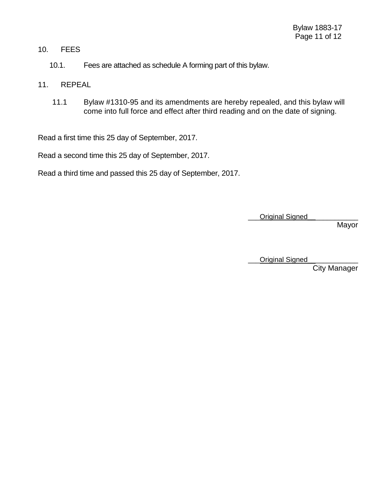## 10. FEES

- 10.1. Fees are attached as schedule A forming part of this bylaw.
- 11. REPEAL
	- 11.1 Bylaw #1310-95 and its amendments are hereby repealed, and this bylaw will come into full force and effect after third reading and on the date of signing.

Read a first time this 25 day of September, 2017.

Read a second time this 25 day of September, 2017.

Read a third time and passed this 25 day of September, 2017.

Original Signed

Mayor

Original Signed

City Manager